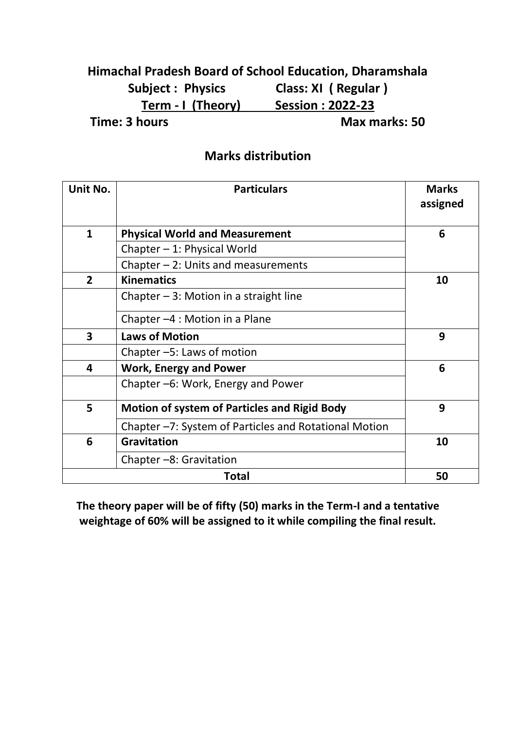### **Himachal Pradesh Board of School Education, Dharamshala Subject : Physics Class: XI ( Regular ) Term - I (Theory) Session : 2022-23 Time: 3 hours Max marks: 50**

#### **Marks distribution**

| Unit No.                | <b>Particulars</b>                                    | <b>Marks</b><br>assigned |  |
|-------------------------|-------------------------------------------------------|--------------------------|--|
| $\mathbf{1}$            | <b>Physical World and Measurement</b>                 |                          |  |
|                         | Chapter - 1: Physical World                           |                          |  |
|                         | Chapter $-2$ : Units and measurements                 |                          |  |
| $\overline{2}$          | <b>Kinematics</b>                                     | 10                       |  |
|                         | Chapter $-3$ : Motion in a straight line              |                          |  |
|                         | Chapter $-4$ : Motion in a Plane                      |                          |  |
| $\overline{\mathbf{3}}$ | <b>Laws of Motion</b>                                 | 9                        |  |
|                         | Chapter -5: Laws of motion                            |                          |  |
| 4                       | <b>Work, Energy and Power</b>                         | 6                        |  |
|                         | Chapter -6: Work, Energy and Power                    |                          |  |
| 5                       | <b>Motion of system of Particles and Rigid Body</b>   | 9                        |  |
|                         | Chapter -7: System of Particles and Rotational Motion |                          |  |
| 6                       | <b>Gravitation</b>                                    |                          |  |
|                         | Chapter -8: Gravitation                               |                          |  |
|                         | 50                                                    |                          |  |

**The theory paper will be of fifty (50) marks in the Term-I and a tentative weightage of 60% will be assigned to it while compiling the final result.**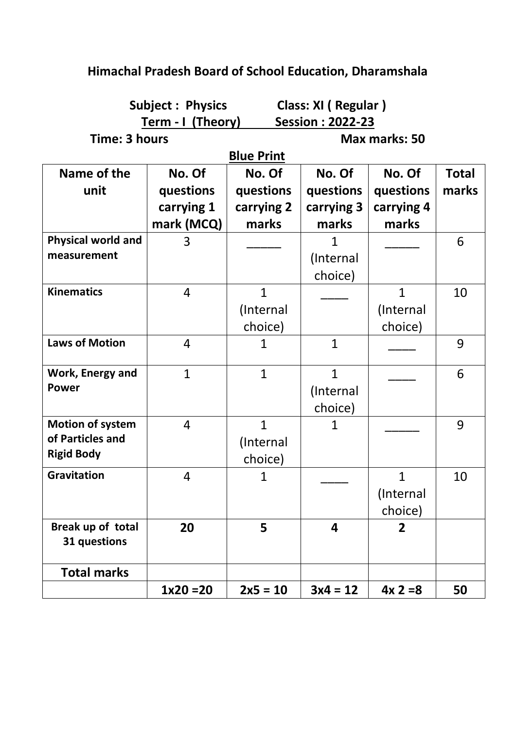| <b>Subject: Physics</b>   |                   | Class: XI (Regular) |               |                |              |
|---------------------------|-------------------|---------------------|---------------|----------------|--------------|
| <u>Term - I (Theory)</u>  |                   | Session: 2022-23    |               |                |              |
| Time: 3 hours             |                   |                     | Max marks: 50 |                |              |
|                           | <b>Blue Print</b> |                     |               |                |              |
| Name of the               | No. Of            | No. Of              | No. Of        | No. Of         | <b>Total</b> |
| unit                      | questions         | questions           | questions     | questions      | marks        |
|                           | carrying 1        | carrying 2          | carrying 3    | carrying 4     |              |
|                           | mark (MCQ)        | marks               | marks         | marks          |              |
| <b>Physical world and</b> | 3                 |                     | 1             |                | 6            |
| measurement               |                   |                     | (Internal     |                |              |
|                           |                   |                     | choice)       |                |              |
| <b>Kinematics</b>         | $\overline{4}$    | $\overline{1}$      |               | $\overline{1}$ | 10           |
|                           |                   | (Internal           |               | (Internal      |              |
|                           |                   | choice)             |               | choice)        |              |
| <b>Laws of Motion</b>     | $\overline{4}$    | 1                   | $\mathbf{1}$  |                | 9            |
| Work, Energy and          | $\mathbf{1}$      | $\mathbf{1}$        | $\mathbf{1}$  |                | 6            |
| <b>Power</b>              |                   |                     | (Internal     |                |              |
|                           |                   |                     | choice)       |                |              |
| <b>Motion of system</b>   | $\overline{4}$    | $\overline{1}$      | 1             |                | 9            |
| of Particles and          |                   | (Internal           |               |                |              |
| <b>Rigid Body</b>         |                   | choice)             |               |                |              |
| <b>Gravitation</b>        | 4                 | 1                   |               | $\mathbf{1}$   | 10           |
|                           |                   |                     |               | (Internal      |              |
|                           |                   |                     |               | choice)        |              |
| Break up of total         | 20                | 5                   | 4             | $\overline{2}$ |              |
| 31 questions              |                   |                     |               |                |              |
| <b>Total marks</b>        |                   |                     |               |                |              |
|                           | $1x20 = 20$       | $2x5 = 10$          | $3x4 = 12$    | $4x 2=8$       | 50           |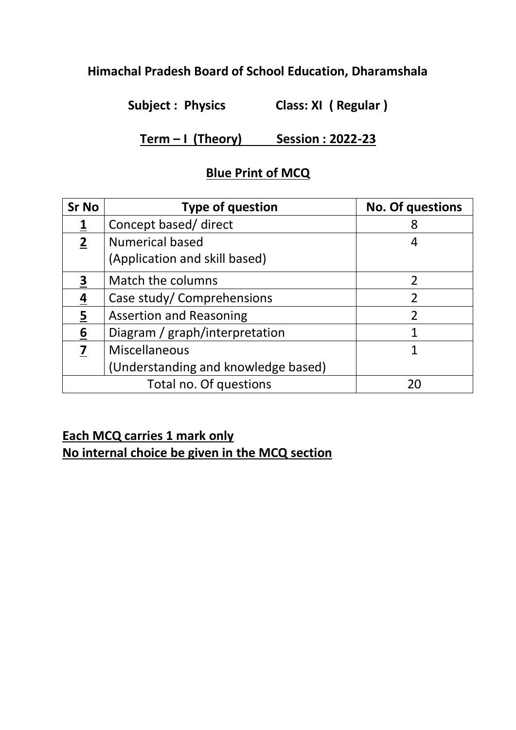**Subject : Physics Class: XI ( Regular )**

**Term – I (Theory) Session : 2022-23**

### **Blue Print of MCQ**

| <b>Sr No</b>    | <b>Type of question</b>             | <b>No. Of questions</b> |
|-----------------|-------------------------------------|-------------------------|
|                 | Concept based/ direct               | 8                       |
| $\mathbf{2}$    | <b>Numerical based</b>              | 4                       |
|                 | (Application and skill based)       |                         |
| 3               | Match the columns                   | $\overline{2}$          |
| <u>4</u>        | Case study/ Comprehensions          | $\overline{2}$          |
| $\overline{5}$  | <b>Assertion and Reasoning</b>      | $\mathfrak{D}$          |
| $\underline{6}$ | Diagram / graph/interpretation      |                         |
| 7               | Miscellaneous                       |                         |
|                 | (Understanding and knowledge based) |                         |
|                 | Total no. Of questions              | 20                      |

## **Each MCQ carries 1 mark only**

**No internal choice be given in the MCQ section**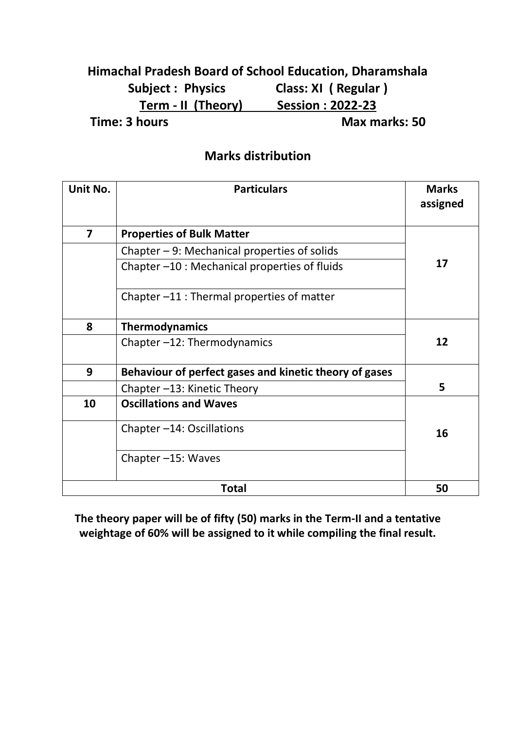### **Himachal Pradesh Board of School Education, Dharamshala Subject : Physics Class: XI ( Regular ) Term - II (Theory) Session : 2022-23 Time: 3 hours Max marks: 50**

#### **Marks distribution**

| Unit No.                | <b>Particulars</b>                                     | <b>Marks</b><br>assigned |
|-------------------------|--------------------------------------------------------|--------------------------|
| $\overline{\mathbf{z}}$ | <b>Properties of Bulk Matter</b>                       |                          |
|                         | Chapter $-9$ : Mechanical properties of solids         |                          |
|                         | Chapter -10 : Mechanical properties of fluids          | 17                       |
|                         | Chapter -11 : Thermal properties of matter             |                          |
| 8                       | <b>Thermodynamics</b>                                  |                          |
|                         | Chapter-12: Thermodynamics                             | 12                       |
| 9                       | Behaviour of perfect gases and kinetic theory of gases |                          |
|                         | Chapter -13: Kinetic Theory                            | 5                        |
| 10                      | <b>Oscillations and Waves</b>                          |                          |
|                         | Chapter $-14$ : Oscillations                           | 16                       |
|                         | Chapter -15: Waves                                     |                          |
|                         | <b>Total</b>                                           | 50                       |

**The theory paper will be of fifty (50) marks in the Term-II and a tentative weightage of 60% will be assigned to it while compiling the final result.**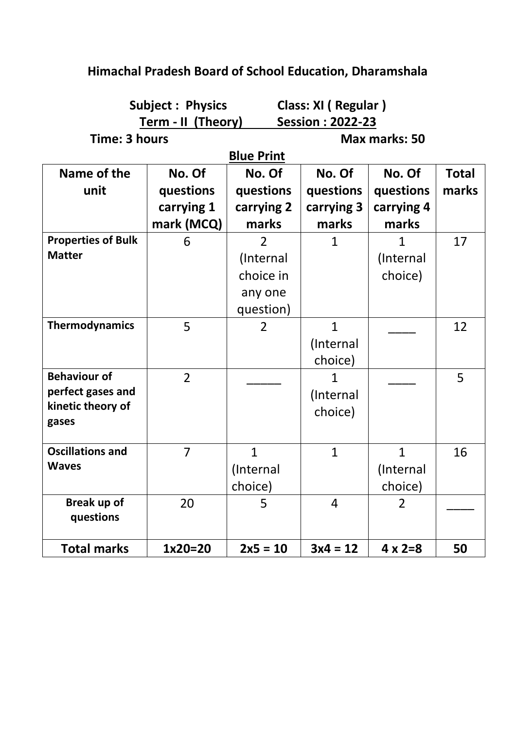| <b>Subject: Physics</b><br>Class: XI (Regular) |                |                   |               |                |              |
|------------------------------------------------|----------------|-------------------|---------------|----------------|--------------|
| Term - II (Theory)<br>Session: 2022-23         |                |                   |               |                |              |
| Time: 3 hours                                  |                |                   | Max marks: 50 |                |              |
|                                                |                | <b>Blue Print</b> |               |                |              |
| Name of the                                    | No. Of         | No. Of            | No. Of        | No. Of         | <b>Total</b> |
| unit                                           | questions      | questions         | questions     | questions      | marks        |
|                                                | carrying 1     | carrying 2        | carrying 3    | carrying 4     |              |
|                                                | mark (MCQ)     | marks             | marks         | marks          |              |
| <b>Properties of Bulk</b>                      | 6              | $\overline{2}$    | 1             | 1              | 17           |
| <b>Matter</b>                                  |                | (Internal         |               | (Internal      |              |
|                                                |                | choice in         |               | choice)        |              |
|                                                |                | any one           |               |                |              |
|                                                |                | question)         |               |                |              |
| <b>Thermodynamics</b>                          | 5              | $\overline{2}$    | $\mathbf{1}$  |                | 12           |
|                                                |                |                   | (Internal     |                |              |
|                                                |                |                   | choice)       |                |              |
| <b>Behaviour of</b>                            | $\overline{2}$ |                   | 1             |                | 5            |
| perfect gases and                              |                |                   | (Internal     |                |              |
| kinetic theory of                              |                |                   | choice)       |                |              |
| gases                                          |                |                   |               |                |              |
| <b>Oscillations and</b>                        | $\overline{7}$ | $\mathbf{1}$      | $\mathbf{1}$  | $\mathbf{1}$   | 16           |
| <b>Waves</b>                                   |                | (Internal         |               | (Internal      |              |
|                                                |                |                   |               |                |              |
|                                                |                | choice)           |               | choice)        |              |
| Break up of<br>questions                       | 20             | 5                 | 4             | 2              |              |
|                                                |                |                   |               |                |              |
| <b>Total marks</b>                             | $1x20=20$      | $2x5 = 10$        | $3x4 = 12$    | $4 \times 2=8$ | 50           |